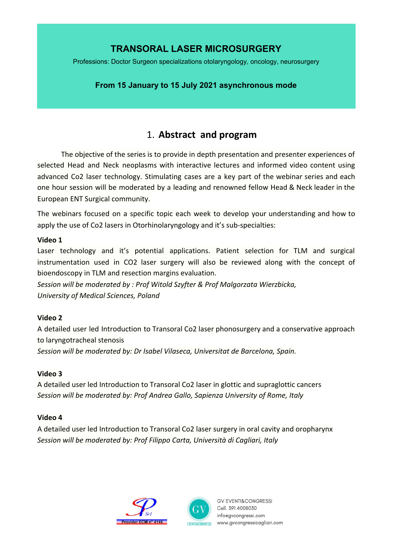# **TRANSORAL LASER MICROSURGERY**

Professions: Doctor Surgeon specializations otolaryngology, oncology, neurosurgery

### **From 15 January to 15 July 2021 asynchronous mode**

# 1. **Abstract and program**

The objective of the series is to provide in depth presentation and presenter experiences of selected Head and Neck neoplasms with interactive lectures and informed video content using advanced Co2 laser technology. Stimulating cases are a key part of the webinar series and each one hour session will be moderated by a leading and renowned fellow Head & Neck leader in the European ENT Surgical community.

The webinars focused on a specific topic each week to develop your understanding and how to apply the use of Co2 lasers in Otorhinolaryngology and it's sub-specialties:

#### **Video 1**

Laser technology and it's potential applications. Patient selection for TLM and surgical instrumentation used in CO2 laser surgery will also be reviewed along with the concept of bioendoscopy in TLM and resection margins evaluation.

*Session will be moderated by : Prof Witold Szyfter & Prof Malgorzata Wierzbicka, University of Medical Sciences, Poland*

#### **Video 2**

A detailed user led Introduction to Transoral Co2 laser phonosurgery and a conservative approach to laryngotracheal stenosis

*Session will be moderated by: Dr Isabel Vilaseca, Universitat de Barcelona, Spain.*

#### **Video 3**

A detailed user led Introduction to Transoral Co2 laser in glottic and supraglottic cancers *Session will be moderated by: Prof Andrea Gallo, Sapienza University of Rome, Italy*

#### **Video 4**

A detailed user led Introduction to Transoral Co2 laser surgery in oral cavity and oropharynx *Session will be moderated by: Prof Filippo Carta, Università di Cagliari, Italy*





**GV EVENTI&CONGRESSI** Cell. 391 4008030 info@gvcongressi.com www.gvcongressicagliari.com